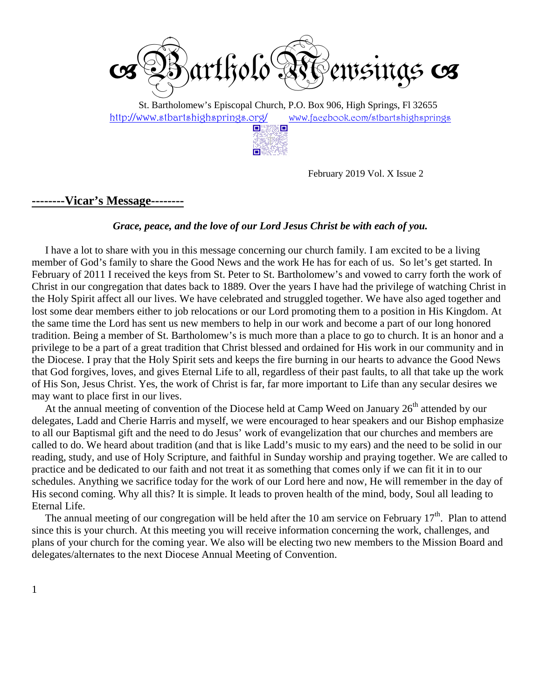

 St. Bartholomew's Episcopal Church, P.O. Box 906, High Springs, Fl 32655 http://www.stbartshighsprings.org/ www.facebook.com/stbartshighsprings



February 2019 Vol. X Issue 2

**--------Vicar's Message--------**

### *Grace, peace, and the love of our Lord Jesus Christ be with each of you.*

 I have a lot to share with you in this message concerning our church family. I am excited to be a living member of God's family to share the Good News and the work He has for each of us. So let's get started. In February of 2011 I received the keys from St. Peter to St. Bartholomew's and vowed to carry forth the work of Christ in our congregation that dates back to 1889. Over the years I have had the privilege of watching Christ in the Holy Spirit affect all our lives. We have celebrated and struggled together. We have also aged together and lost some dear members either to job relocations or our Lord promoting them to a position in His Kingdom. At the same time the Lord has sent us new members to help in our work and become a part of our long honored tradition. Being a member of St. Bartholomew's is much more than a place to go to church. It is an honor and a privilege to be a part of a great tradition that Christ blessed and ordained for His work in our community and in the Diocese. I pray that the Holy Spirit sets and keeps the fire burning in our hearts to advance the Good News that God forgives, loves, and gives Eternal Life to all, regardless of their past faults, to all that take up the work of His Son, Jesus Christ. Yes, the work of Christ is far, far more important to Life than any secular desires we may want to place first in our lives.

At the annual meeting of convention of the Diocese held at Camp Weed on January  $26<sup>th</sup>$  attended by our delegates, Ladd and Cherie Harris and myself, we were encouraged to hear speakers and our Bishop emphasize to all our Baptismal gift and the need to do Jesus' work of evangelization that our churches and members are called to do. We heard about tradition (and that is like Ladd's music to my ears) and the need to be solid in our reading, study, and use of Holy Scripture, and faithful in Sunday worship and praying together. We are called to practice and be dedicated to our faith and not treat it as something that comes only if we can fit it in to our schedules. Anything we sacrifice today for the work of our Lord here and now, He will remember in the day of His second coming. Why all this? It is simple. It leads to proven health of the mind, body, Soul all leading to Eternal Life.

The annual meeting of our congregation will be held after the 10 am service on February  $17<sup>th</sup>$ . Plan to attend since this is your church. At this meeting you will receive information concerning the work, challenges, and plans of your church for the coming year. We also will be electing two new members to the Mission Board and delegates/alternates to the next Diocese Annual Meeting of Convention.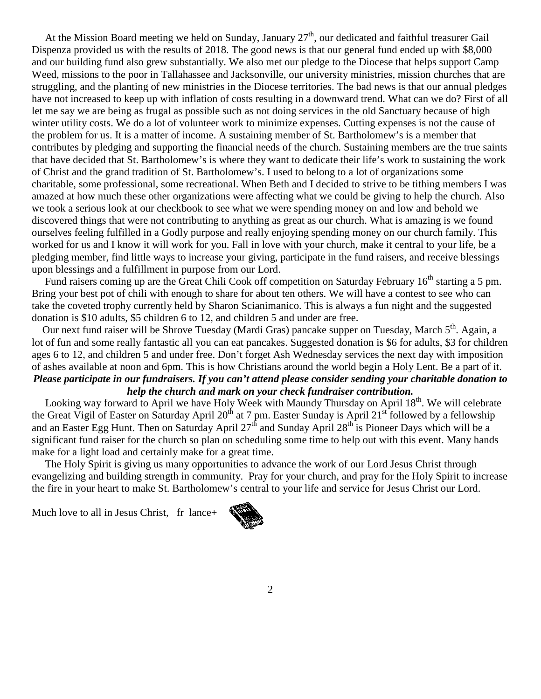At the Mission Board meeting we held on Sunday, January 27<sup>th</sup>, our dedicated and faithful treasurer Gail Dispenza provided us with the results of 2018. The good news is that our general fund ended up with \$8,000 and our building fund also grew substantially. We also met our pledge to the Diocese that helps support Camp Weed, missions to the poor in Tallahassee and Jacksonville, our university ministries, mission churches that are struggling, and the planting of new ministries in the Diocese territories. The bad news is that our annual pledges have not increased to keep up with inflation of costs resulting in a downward trend. What can we do? First of all let me say we are being as frugal as possible such as not doing services in the old Sanctuary because of high winter utility costs. We do a lot of volunteer work to minimize expenses. Cutting expenses is not the cause of the problem for us. It is a matter of income. A sustaining member of St. Bartholomew's is a member that contributes by pledging and supporting the financial needs of the church. Sustaining members are the true saints that have decided that St. Bartholomew's is where they want to dedicate their life's work to sustaining the work of Christ and the grand tradition of St. Bartholomew's. I used to belong to a lot of organizations some charitable, some professional, some recreational. When Beth and I decided to strive to be tithing members I was amazed at how much these other organizations were affecting what we could be giving to help the church. Also we took a serious look at our checkbook to see what we were spending money on and low and behold we discovered things that were not contributing to anything as great as our church. What is amazing is we found ourselves feeling fulfilled in a Godly purpose and really enjoying spending money on our church family. This worked for us and I know it will work for you. Fall in love with your church, make it central to your life, be a pledging member, find little ways to increase your giving, participate in the fund raisers, and receive blessings upon blessings and a fulfillment in purpose from our Lord.

Fund raisers coming up are the Great Chili Cook off competition on Saturday February 16<sup>th</sup> starting a 5 pm. Bring your best pot of chili with enough to share for about ten others. We will have a contest to see who can take the coveted trophy currently held by Sharon Scianimanico. This is always a fun night and the suggested donation is \$10 adults, \$5 children 6 to 12, and children 5 and under are free.

Our next fund raiser will be Shrove Tuesday (Mardi Gras) pancake supper on Tuesday, March  $5<sup>th</sup>$ . Again, a lot of fun and some really fantastic all you can eat pancakes. Suggested donation is \$6 for adults, \$3 for children ages 6 to 12, and children 5 and under free. Don't forget Ash Wednesday services the next day with imposition of ashes available at noon and 6pm. This is how Christians around the world begin a Holy Lent. Be a part of it. *Please participate in our fundraisers. If you can't attend please consider sending your charitable donation to help the church and mark on your check fundraiser contribution.* 

Looking way forward to April we have Holy Week with Maundy Thursday on April 18<sup>th</sup>. We will celebrate the Great Vigil of Easter on Saturday April 20<sup>th</sup> at 7 pm. Easter Sunday is April 21<sup>st</sup> followed by a fellowship and an Easter Egg Hunt. Then on Saturday April 27<sup>th</sup> and Sunday April 28<sup>th</sup> is Pioneer Days which will be a significant fund raiser for the church so plan on scheduling some time to help out with this event. Many hands make for a light load and certainly make for a great time.

 The Holy Spirit is giving us many opportunities to advance the work of our Lord Jesus Christ through evangelizing and building strength in community. Pray for your church, and pray for the Holy Spirit to increase the fire in your heart to make St. Bartholomew's central to your life and service for Jesus Christ our Lord.

Much love to all in Jesus Christ, fr lance+

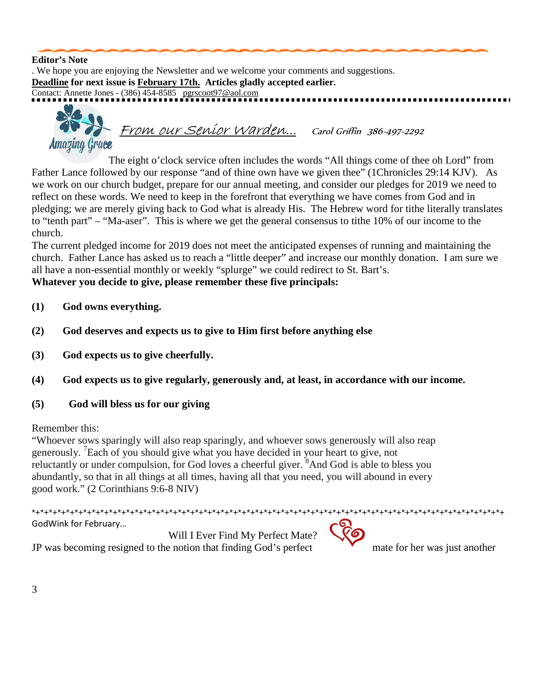#### **Editor's Note**

. We hope you are enjoying the Newsletter and we welcome your comments and suggestions. **Deadline for next issue is February 17th. Articles gladly accepted earlier.** Contact: Annette Jones - (386) 454-8585 pgrscoot97@aol.com From our Senior Warden... Carol Griffin 386-497-2292 Amazing Grace

 The eight o'clock service often includes the words "All things come of thee oh Lord" from Father Lance followed by our response "and of thine own have we given thee" (1Chronicles 29:14 KJV). As we work on our church budget, prepare for our annual meeting, and consider our pledges for 2019 we need to reflect on these words. We need to keep in the forefront that everything we have comes from God and in pledging; we are merely giving back to God what is already His. The Hebrew word for tithe literally translates to "tenth part" – "Ma-aser". This is where we get the general consensus to tithe 10% of our income to the church.

The current pledged income for 2019 does not meet the anticipated expenses of running and maintaining the church. Father Lance has asked us to reach a "little deeper" and increase our monthly donation. I am sure we all have a non-essential monthly or weekly "splurge" we could redirect to St. Bart's.

### **Whatever you decide to give, please remember these five principals:**

- **(1) God owns everything.**
- **(2) God deserves and expects us to give to Him first before anything else**
- **(3) God expects us to give cheerfully.**
- **(4) God expects us to give regularly, generously and, at least, in accordance with our income.**
- **(5) God will bless us for our giving**

### Remember this:

"Whoever sows sparingly will also reap sparingly, and whoever sows generously will also reap generously. <sup>7</sup> Each of you should give what you have decided in your heart to give, not reluctantly or under compulsion, for God loves a cheerful giver. <sup>8</sup>And God is able to bless you abundantly, so that in all things at all times, having all that you need, you will abound in every good work." (2 Corinthians 9:6-8 NIV)

\*+\*+\*+\*+\*+\*+\*+\*+\*+\*+\*+\*+\*+\*+\*+\*+\*+\*+\*+\*+\*+\*+\*+\*+\*+\*+\*+\*+\*+\*+\*+\*+\*+\*+\*+\*+\*+\*+\*+\*+\*+\*+\*+\*+\*+\*+\*+\*+\*+\*+\*+\*+\*+\*+\*+ GodWink for February… Will I Ever Find My Perfect Mate?



JP was becoming resigned to the notion that finding God's perfect mate for her was just another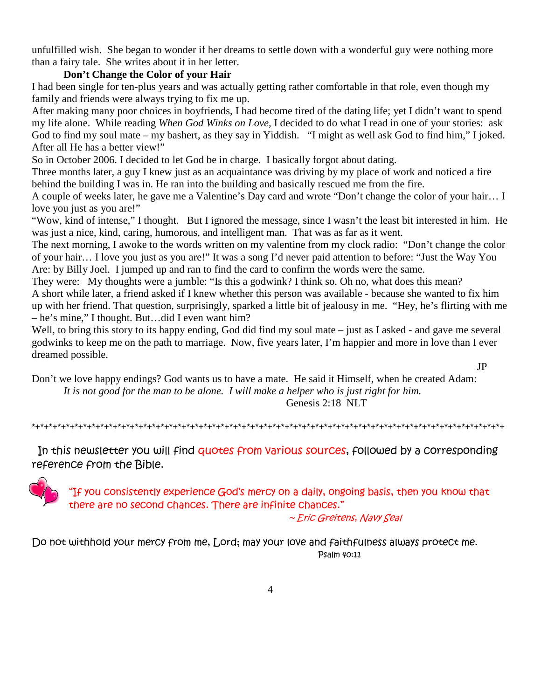unfulfilled wish. She began to wonder if her dreams to settle down with a wonderful guy were nothing more than a fairy tale. She writes about it in her letter.

### **Don't Change the Color of your Hair**

I had been single for ten-plus years and was actually getting rather comfortable in that role, even though my family and friends were always trying to fix me up.

After making many poor choices in boyfriends, I had become tired of the dating life; yet I didn't want to spend my life alone. While reading *When God Winks on Love,* I decided to do what I read in one of your stories: ask God to find my soul mate – my bashert, as they say in Yiddish. "I might as well ask God to find him," I joked. After all He has a better view!"

So in October 2006. I decided to let God be in charge. I basically forgot about dating.

Three months later, a guy I knew just as an acquaintance was driving by my place of work and noticed a fire behind the building I was in. He ran into the building and basically rescued me from the fire.

A couple of weeks later, he gave me a Valentine's Day card and wrote "Don't change the color of your hair… I love you just as you are!"

"Wow, kind of intense," I thought. But I ignored the message, since I wasn't the least bit interested in him. He was just a nice, kind, caring, humorous, and intelligent man. That was as far as it went.

The next morning, I awoke to the words written on my valentine from my clock radio: "Don't change the color of your hair… I love you just as you are!" It was a song I'd never paid attention to before: "Just the Way You Are: by Billy Joel. I jumped up and ran to find the card to confirm the words were the same.

They were: My thoughts were a jumble: "Is this a godwink? I think so. Oh no, what does this mean? A short while later, a friend asked if I knew whether this person was available - because she wanted to fix him up with her friend. That question, surprisingly, sparked a little bit of jealousy in me. "Hey, he's flirting with me – he's mine," I thought. But…did I even want him?

Well, to bring this story to its happy ending, God did find my soul mate – just as I asked - and gave me several godwinks to keep me on the path to marriage. Now, five years later, I'm happier and more in love than I ever dreamed possible.

JP

Don't we love happy endings? God wants us to have a mate. He said it Himself, when he created Adam: *It is not good for the man to be alone. I will make a helper who is just right for him.*  Genesis 2:18 NLT

\*+\*+\*+\*+\*+\*+\*+\*+\*+\*+\*+\*+\*+\*+\*+\*+\*+\*+\*+\*+\*+\*+\*+\*+\*+\*+\*+\*+\*+\*+\*+\*+\*+\*+\*+\*+\*+\*+\*+\*+\*+\*+\*+\*+\*+\*+\*+\*+\*+\*+\*+\*+\*+\*+\*+

In this newsletter you will find quotes from Various sources, followed by a corresponding reference from the Bible.



"If you consistently experience God's mercy on a daily, ongoing basis, then you know that there are no second chances. There are infinite chances."

~ Eric Greitens, Navy Seal

Do not withhold your mercy from me, Lord; may your love and faithfulness always protect me. Psalm 40:11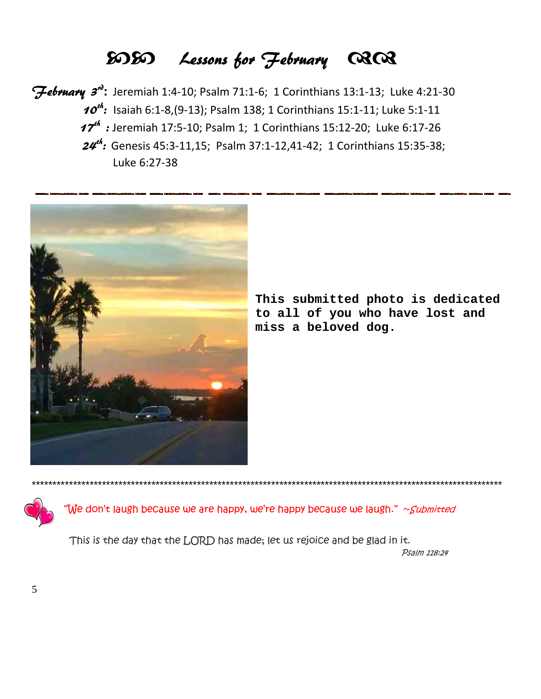# -- Lessons for February

 $F$ ebruary 3<sup>n</sup>: Jeremiah 1:4-10; Psalm 71:1-6; 1 Corinthians 13:1-13; Luke 4:21-30  $10^{4}$ : Isaiah 6:1-8,(9-13); Psalm 138; 1 Corinthians 15:1-11; Luke 5:1-11 **17<sup>th</sup>**: Jeremiah 17:5-10; Psalm 1; 1 Corinthians 15:12-20; Luke 6:17-26  $24$ <sup>th</sup>: Genesis 45:3-11,15; Psalm 37:1-12,41-42; 1 Corinthians 15:35-38; Luke 6:27-38



**This submitted photo is dedicated to all of you who have lost and miss a beloved dog.** 

"We don't laugh because we are happy, we're happy because we laugh." ~*Submitted* 

\*\*\*\*\*\*\*\*\*\*\*\*\*\*\*\*\*\*\*\*\*\*\*\*\*\*\*\*\*\*\*\*\*\*\*\*\*\*\*\*\*\*\*\*\*\*\*\*\*\*\*\*\*\*\*\*\*\*\*\*\*\*\*\*\*\*\*\*\*\*\*\*\*\*\*\*\*\*\*\*\*\*\*\*\*\*\*\*\*\*\*\*\*\*\*\*\*\*\*\*\*\*\*\*\*\*\*\*\*\*\*\*\*\*

 This is the day that the LORD has made; let us rejoice and be glad in it. Psalm 118:24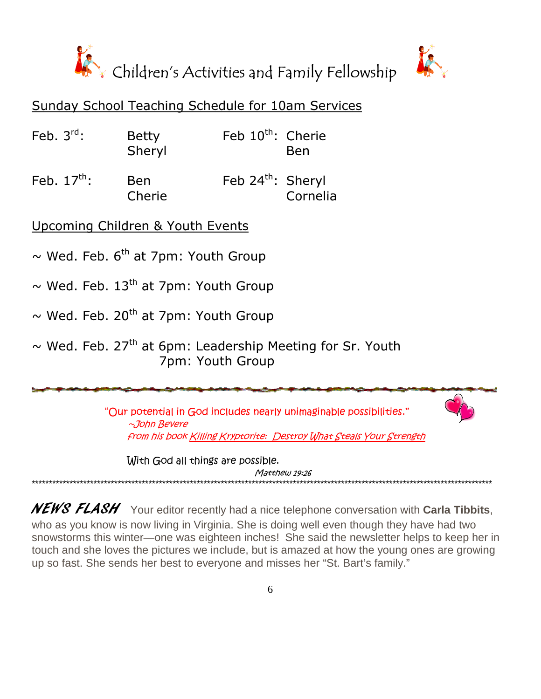



### Sunday School Teaching Schedule for 10am Services

| Feb. $3^{\text{rd}}$ : | <b>Betty</b> | Feb 10 <sup>th</sup> : Cherie |            |
|------------------------|--------------|-------------------------------|------------|
|                        | Sheryl       |                               | <b>Ben</b> |

Feb. 17<sup>th</sup>: Ben Feb 24<sup>th</sup>: Sheryl Cherie Cornelia

Upcoming Children & Youth Events

 $\sim$  Wed. Feb. 6<sup>th</sup> at 7pm: Youth Group

 $\sim$  Wed. Feb. 13<sup>th</sup> at 7pm: Youth Group

 $\sim$  Wed. Feb. 20<sup>th</sup> at 7pm: Youth Group

 $\sim$  Wed. Feb. 27<sup>th</sup> at 6pm: Leadership Meeting for Sr. Youth 7pm: Youth Group

> "Our potential in God includes nearly unimaginable possibilities." ~John Bevere from his book Killing Kryptorite: Destroy What Steals Your Strength

 With God all things are possible. Matthew 19:26

NEWS FLASH Your editor recently had a nice telephone conversation with **Carla Tibbits**, who as you know is now living in Virginia. She is doing well even though they have had two snowstorms this winter—one was eighteen inches! She said the newsletter helps to keep her in touch and she loves the pictures we include, but is amazed at how the young ones are growing up so fast. She sends her best to everyone and misses her "St. Bart's family."

\*\*\*\*\*\*\*\*\*\*\*\*\*\*\*\*\*\*\*\*\*\*\*\*\*\*\*\*\*\*\*\*\*\*\*\*\*\*\*\*\*\*\*\*\*\*\*\*\*\*\*\*\*\*\*\*\*\*\*\*\*\*\*\*\*\*\*\*\*\*\*\*\*\*\*\*\*\*\*\*\*\*\*\*\*\*\*\*\*\*\*\*\*\*\*\*\*\*\*\*\*\*\*\*\*\*\*\*\*\*\*\*\*\*\*\*\*\*\*\*\*\*\*\*\*\*\*\*\*\*\*\*\*\*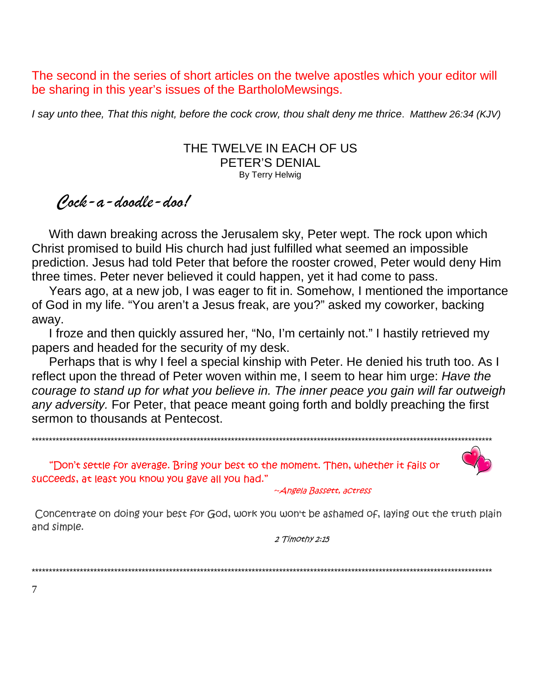The second in the series of short articles on the twelve apostles which your editor will be sharing in this year's issues of the BartholoMewsings.

I say unto thee, That this night, before the cock crow, thou shalt deny me thrice. Matthew 26:34 (KJV)

### THE TWELVE IN EACH OF US PETER'S DENIAL By Terry Helwig

## Cock-a-doodle-doo!

 With dawn breaking across the Jerusalem sky, Peter wept. The rock upon which Christ promised to build His church had just fulfilled what seemed an impossible prediction. Jesus had told Peter that before the rooster crowed, Peter would deny Him three times. Peter never believed it could happen, yet it had come to pass.

 Years ago, at a new job, I was eager to fit in. Somehow, I mentioned the importance of God in my life. "You aren't a Jesus freak, are you?" asked my coworker, backing away.

 I froze and then quickly assured her, "No, I'm certainly not." I hastily retrieved my papers and headed for the security of my desk.

 Perhaps that is why I feel a special kinship with Peter. He denied his truth too. As I reflect upon the thread of Peter woven within me, I seem to hear him urge: Have the courage to stand up for what you believe in. The inner peace you gain will far outweigh any adversity. For Peter, that peace meant going forth and boldly preaching the first sermon to thousands at Pentecost.

 "Don't settle for average. Bring your best to the moment. Then, whether it fails or succeeds, at least you know you gave all you had."

\*\*\*\*\*\*\*\*\*\*\*\*\*\*\*\*\*\*\*\*\*\*\*\*\*\*\*\*\*\*\*\*\*\*\*\*\*\*\*\*\*\*\*\*\*\*\*\*\*\*\*\*\*\*\*\*\*\*\*\*\*\*\*\*\*\*\*\*\*\*\*\*\*\*\*\*\*\*\*\*\*\*\*\*\*\*\*\*\*\*\*\*\*\*\*\*\*\*\*\*\*\*\*\*\*\*\*\*\*\*\*\*\*\*\*\*\*\*\*\*\*\*\*\*\*\*\*\*\*\*\*\*\*\*

~Angela Bassett, actress

Concentrate on doing your best for God, work you won't be ashamed of, laying out the truth plain and simple.

2 Timothy 2:15

\*\*\*\*\*\*\*\*\*\*\*\*\*\*\*\*\*\*\*\*\*\*\*\*\*\*\*\*\*\*\*\*\*\*\*\*\*\*\*\*\*\*\*\*\*\*\*\*\*\*\*\*\*\*\*\*\*\*\*\*\*\*\*\*\*\*\*\*\*\*\*\*\*\*\*\*\*\*\*\*\*\*\*\*\*\*\*\*\*\*\*\*\*\*\*\*\*\*\*\*\*\*\*\*\*\*\*\*\*\*\*\*\*\*\*\*\*\*\*\*\*\*\*\*\*\*\*\*\*\*\*\*\*\*

7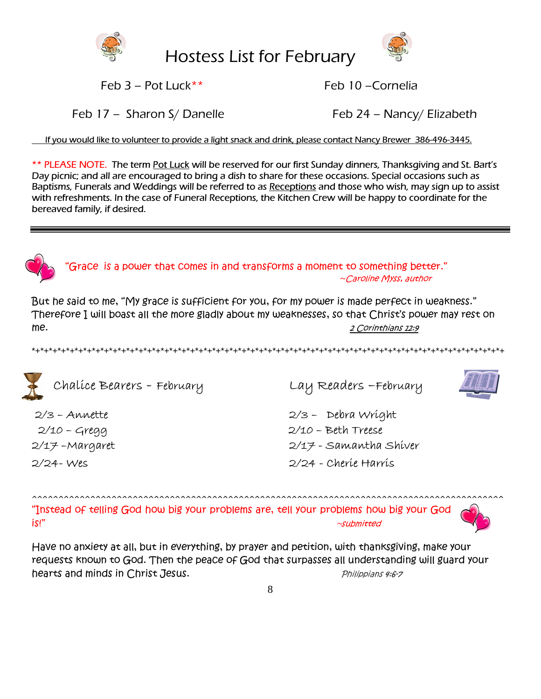

Hostess List for February



Feb 3 – Pot Luck\*\* Feb 10 –Cornelia

Feb 17 – Sharon S/ Danelle Feb 24 – Nancy/ Elizabeth

If you would like to volunteer to provide a light snack and drink, please contact Nancy Brewer 386-496-3445.

\*\* PLEASE NOTE. The term Pot Luck will be reserved for our first Sunday dinners, Thanksgiving and St. Bart's Day picnic; and all are encouraged to bring a dish to share for these occasions. Special occasions such as Baptisms, Funerals and Weddings will be referred to as Receptions and those who wish, may sign up to assist with refreshments. In the case of Funeral Receptions, the Kitchen Crew will be happy to coordinate for the bereaved family, if desired.



"Grace is a power that comes in and transforms a moment to something better." ~Caroline Myss, author

But he said to me, "My grace is sufficient for you, for my power is made perfect in weakness." Therefore I will boast all the more gladly about my weaknesses, so that Christ's power may rest on me. 2 Corinthians 12:9

\*+\*+\*+\*+\*+\*+\*+\*+\*+\*+\*+\*+\*+\*+\*+\*+\*+\*+\*+\*+\*+\*+\*+\*+\*+\*+\*+\*+\*+\*+\*+\*+\*+\*+\*+\*+\*+\*+\*+\*+\*+\*+\*+\*+\*+\*+\*+\*+\*+\*+\*+\*+\*+\*+\*+





2/17 –Margaret 2/17 - Samantha Shiver 2/24- Wes 2/24 - Cherie Harris

^^^^^^^^^^^^^^^^^^^^^^^^^^^^^^^^^^^^^^^^^^^^^^^^^^^^^^^^^^^^^^^^^^^^^^^^^^^^^^^^^^^^^^^^^ "Instead of telling God how big your problems are, tell your problems how big your God is!" ~submitted



Have no anxiety at all, but in everything, by prayer and petition, with thanksgiving, make your requests known to God. Then the peace of God that surpasses all understanding will guard your hearts and minds in Christ Jesus. The manufacturer of the philippians 4:6-7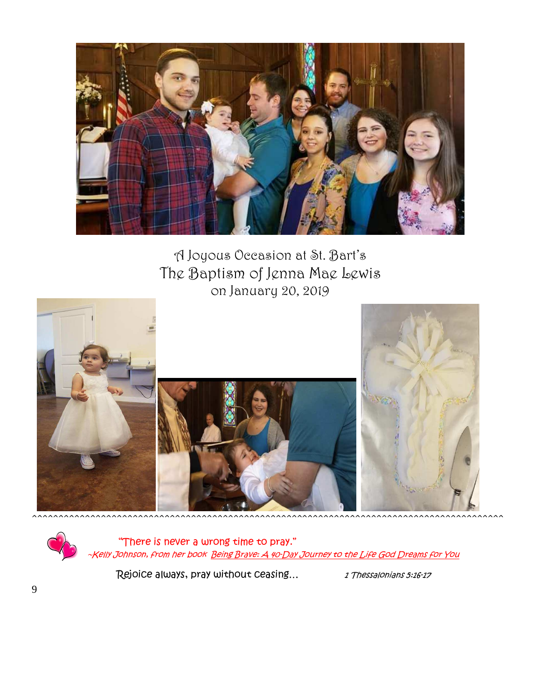

A Joyous Occasion at St. Bart's The Baptism of Jenna Mae Lewis on January 20, 2019



 "There is never a wrong time to pray." ~Kelly Johnson, from her book Being Brave: A 40-Day Journey to the Life God Dreams for You

**Rejoice always, pray without ceasing...** 1 Thessalonians 5:26-17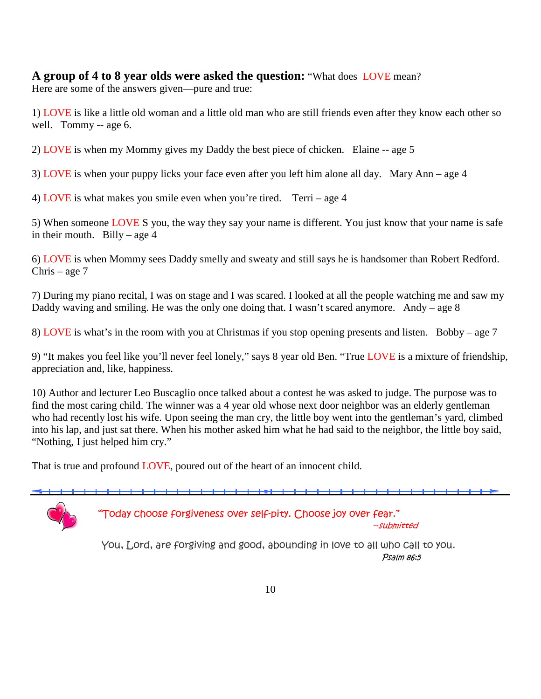### **A group of 4 to 8 year olds were asked the question:** "What does LOVE mean?

Here are some of the answers given—pure and true:

1) LOVE is like a little old woman and a little old man who are still friends even after they know each other so well. Tommy -- age 6.

2) LOVE is when my Mommy gives my Daddy the best piece of chicken. Elaine -- age 5

3) LOVE is when your puppy licks your face even after you left him alone all day. Mary Ann – age 4

4) LOVE is what makes you smile even when you're tired. Terri – age 4

5) When someone LOVE S you, the way they say your name is different. You just know that your name is safe in their mouth. Billy – age  $4$ 

6) LOVE is when Mommy sees Daddy smelly and sweaty and still says he is handsomer than Robert Redford. Chris – age 7

7) During my piano recital, I was on stage and I was scared. I looked at all the people watching me and saw my Daddy waving and smiling. He was the only one doing that. I wasn't scared anymore. Andy – age 8

8) LOVE is what's in the room with you at Christmas if you stop opening presents and listen. Bobby – age 7

9) "It makes you feel like you'll never feel lonely," says 8 year old Ben. "True LOVE is a mixture of friendship, appreciation and, like, happiness.

10) Author and lecturer Leo Buscaglio once talked about a contest he was asked to judge. The purpose was to find the most caring child. The winner was a 4 year old whose next door neighbor was an elderly gentleman who had recently lost his wife. Upon seeing the man cry, the little boy went into the gentleman's yard, climbed into his lap, and just sat there. When his mother asked him what he had said to the neighbor, the little boy said, "Nothing, I just helped him cry."

That is true and profound LOVE, poured out of the heart of an innocent child.



"Today choose forgiveness over self-pity. Choose joy over fear."

~submitted

 You, Lord, are forgiving and good, abounding in love to all who call to you. Psalm 86:5